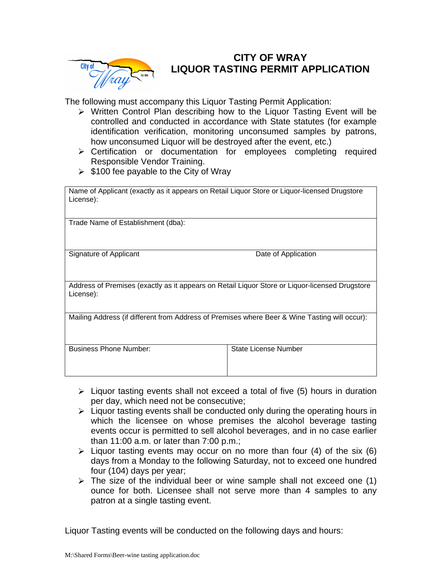

## **CITY OF WRAY LIQUOR TASTING PERMIT APPLICATION**

The following must accompany this Liquor Tasting Permit Application:

- $\triangleright$  Written Control Plan describing how to the Liguor Tasting Event will be controlled and conducted in accordance with State statutes (for example identification verification, monitoring unconsumed samples by patrons, how unconsumed Liquor will be destroyed after the event, etc.)
- Certification or documentation for employees completing required Responsible Vendor Training.
- $\geq$  \$100 fee payable to the City of Wray

| Name of Applicant (exactly as it appears on Retail Liquor Store or Liquor-licensed Drugstore<br>License):   |                      |  |  |  |  |
|-------------------------------------------------------------------------------------------------------------|----------------------|--|--|--|--|
| Trade Name of Establishment (dba):                                                                          |                      |  |  |  |  |
| Signature of Applicant                                                                                      | Date of Application  |  |  |  |  |
| Address of Premises (exactly as it appears on Retail Liquor Store or Liquor-licensed Drugstore<br>License): |                      |  |  |  |  |
| Mailing Address (if different from Address of Premises where Beer & Wine Tasting will occur):               |                      |  |  |  |  |
| <b>Business Phone Number:</b>                                                                               | State License Number |  |  |  |  |

- $\triangleright$  Liquor tasting events shall not exceed a total of five (5) hours in duration per day, which need not be consecutive;
- $\triangleright$  Liquor tasting events shall be conducted only during the operating hours in which the licensee on whose premises the alcohol beverage tasting events occur is permitted to sell alcohol beverages, and in no case earlier than 11:00 a.m. or later than 7:00 p.m.;
- $\triangleright$  Liquor tasting events may occur on no more than four (4) of the six (6) days from a Monday to the following Saturday, not to exceed one hundred four (104) days per year;
- $\triangleright$  The size of the individual beer or wine sample shall not exceed one (1) ounce for both. Licensee shall not serve more than 4 samples to any patron at a single tasting event.

Liquor Tasting events will be conducted on the following days and hours: